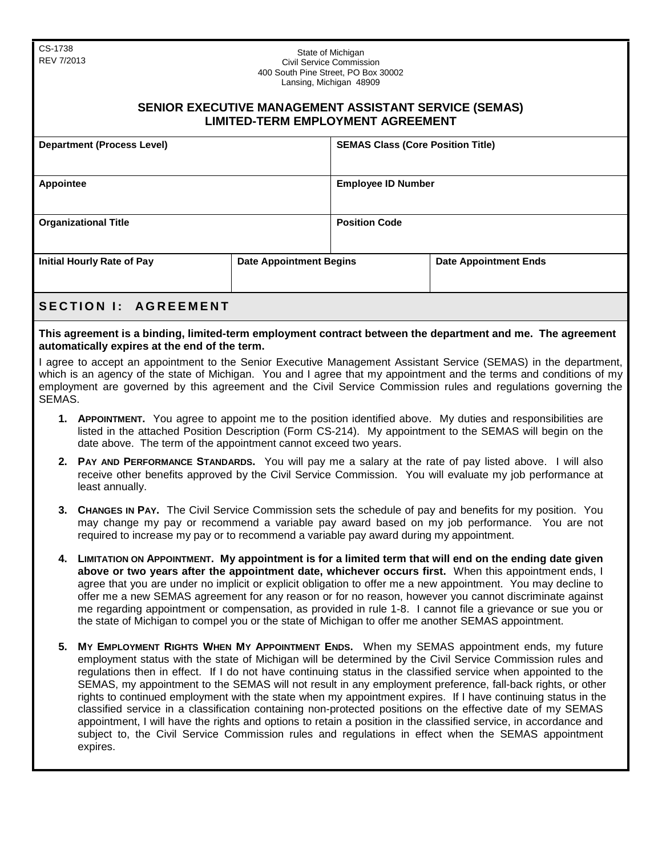CS-1738

| <b>00-11</b> -ان<br>State of Michigan<br>REV 7/2013<br>Civil Service Commission<br>400 South Pine Street, PO Box 30002<br>Lansing, Michigan 48909<br><b>SENIOR EXECUTIVE MANAGEMENT ASSISTANT SERVICE (SEMAS)</b><br><b>LIMITED-TERM EMPLOYMENT AGREEMENT</b> |                           |  |  |  |  |
|---------------------------------------------------------------------------------------------------------------------------------------------------------------------------------------------------------------------------------------------------------------|---------------------------|--|--|--|--|
|                                                                                                                                                                                                                                                               |                           |  |  |  |  |
| <b>Appointee</b>                                                                                                                                                                                                                                              | <b>Employee ID Number</b> |  |  |  |  |
| <b>Organizational Title</b>                                                                                                                                                                                                                                   | <b>Position Code</b>      |  |  |  |  |

| Initial Hourly Rate of Pay  | <b>Date Appointment Begins</b> | <b>Date Appointment Ends</b> |
|-----------------------------|--------------------------------|------------------------------|
| <b>SECTION I: AGREEMENT</b> |                                |                              |

## **This agreement is a binding, limited-term employment contract between the department and me. The agreement automatically expires at the end of the term.**

I agree to accept an appointment to the Senior Executive Management Assistant Service (SEMAS) in the department, which is an agency of the state of Michigan. You and I agree that my appointment and the terms and conditions of my employment are governed by this agreement and the Civil Service Commission rules and regulations governing the SEMAS.

- **1. APPOINTMENT.** You agree to appoint me to the position identified above. My duties and responsibilities are listed in the attached Position Description (Form CS-214). My appointment to the SEMAS will begin on the date above. The term of the appointment cannot exceed two years.
- **2. PAY AND PERFORMANCE STANDARDS.** You will pay me a salary at the rate of pay listed above. I will also receive other benefits approved by the Civil Service Commission. You will evaluate my job performance at least annually.
- **3. CHANGES IN PAY.** The Civil Service Commission sets the schedule of pay and benefits for my position. You may change my pay or recommend a variable pay award based on my job performance. You are not required to increase my pay or to recommend a variable pay award during my appointment.
- **4. LIMITATION ON APPOINTMENT. My appointment is for a limited term that will end on the ending date given above or two years after the appointment date, whichever occurs first.** When this appointment ends, I agree that you are under no implicit or explicit obligation to offer me a new appointment. You may decline to offer me a new SEMAS agreement for any reason or for no reason, however you cannot discriminate against me regarding appointment or compensation, as provided in rule 1-8. I cannot file a grievance or sue you or the state of Michigan to compel you or the state of Michigan to offer me another SEMAS appointment.
- **5. MY EMPLOYMENT RIGHTS WHEN MY APPOINTMENT ENDS.** When my SEMAS appointment ends, my future employment status with the state of Michigan will be determined by the Civil Service Commission rules and regulations then in effect. If I do not have continuing status in the classified service when appointed to the SEMAS, my appointment to the SEMAS will not result in any employment preference, fall-back rights, or other rights to continued employment with the state when my appointment expires. If I have continuing status in the classified service in a classification containing non-protected positions on the effective date of my SEMAS appointment, I will have the rights and options to retain a position in the classified service, in accordance and subject to, the Civil Service Commission rules and regulations in effect when the SEMAS appointment expires.